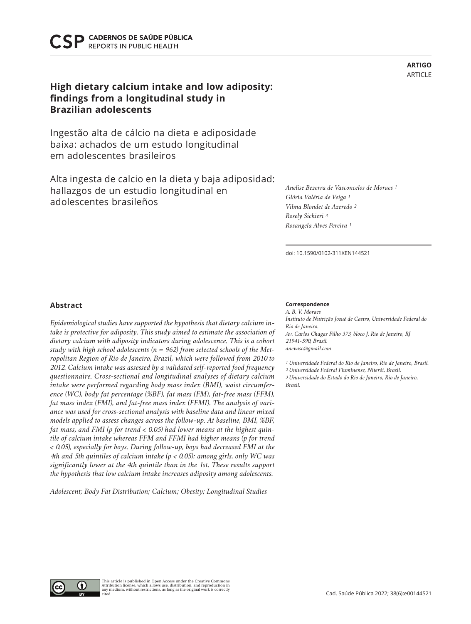**CADERNOS DE SAÚDE PÚBLICA REPORTS IN PUBLIC HEALTH** 

# **High dietary calcium intake and low adiposity: findings from a longitudinal study in Brazilian adolescents**

Ingestão alta de cálcio na dieta e adiposidade baixa: achados de um estudo longitudinal em adolescentes brasileiros

Alta ingesta de calcio en la dieta y baja adiposidad: hallazgos de un estudio longitudinal en adolescentes brasileños

# **Abstract**

*Epidemiological studies have supported the hypothesis that dietary calcium intake is protective for adiposity. This study aimed to estimate the association of dietary calcium with adiposity indicators during adolescence. This is a cohort study with high school adolescents (n = 962) from selected schools of the Metropolitan Region of Rio de Janeiro, Brazil, which were followed from 2010 to 2012. Calcium intake was assessed by a validated self-reported food frequency questionnaire. Cross-sectional and longitudinal analyses of dietary calcium intake were performed regarding body mass index (BMI), waist circumference (WC), body fat percentage (%BF), fat mass (FM), fat-free mass (FFM), fat mass index (FMI), and fat-free mass index (FFMI). The analysis of variance was used for cross-sectional analysis with baseline data and linear mixed models applied to assess changes across the follow-up. At baseline, BMI, %BF, fat mass, and FMI (p for trend < 0.05) had lower means at the highest quintile of calcium intake whereas FFM and FFMI had higher means (p for trend < 0.05), especially for boys. During follow-up, boys had decreased FMI at the 4th and 5th quintiles of calcium intake (p < 0.05); among girls, only WC was significantly lower at the 4th quintile than in the 1st. These results support the hypothesis that low calcium intake increases adiposity among adolescents.*

*Adolescent; Body Fat Distribution; Calcium; Obesity; Longitudinal Studies*

#### **Correspondence**

*A. B. V. Moraes Instituto de Nutrição Josué de Castro, Universidade Federal do Rio de Janeiro. Av. Carlos Chagas Filho 373, bloco J, Rio de Janeiro, RJ 21941-590, Brasil. anevasc@gmail.com* 

*1 Universidade Federal do Rio de Janeiro, Rio de Janeiro, Brasil. 2 Universidade Federal Fluminense, Niterói, Brasil. 3 Universidade do Estado do Rio de Janeiro, Rio de Janeiro, Brasil.*







**ARTIGO**

doi: 10.1590/0102-311XEN144521

*Anelise Bezerra de Vasconcelos de Moraes 1*

*Glória Valéria de Veiga 1 Vilma Blondet de Azeredo 2*

*Rosely Sichieri 3 Rosangela Alves Pereira 1*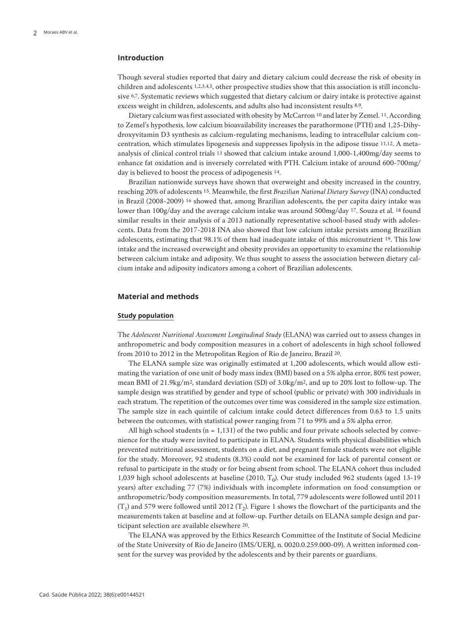# **Introduction**

Though several studies reported that dairy and dietary calcium could decrease the risk of obesity in children and adolescents 1,2,3,4,5, other prospective studies show that this association is still inconclusive 6,7. Systematic reviews which suggested that dietary calcium or dairy intake is protective against excess weight in children, adolescents, and adults also had inconsistent results 8,9.

Dietary calcium was first associated with obesity by McCarron 10 and later by Zemel. 11. According to Zemel's hypothesis, low calcium bioavailability increases the parathormone (PTH) and 1,25-Dihydroxyvitamin D3 synthesis as calcium-regulating mechanisms, leading to intracellular calcium concentration, which stimulates lipogenesis and suppresses lipolysis in the adipose tissue 11,12. A metaanalysis of clinical control trials 13 showed that calcium intake around 1,000-1,400mg/day seems to enhance fat oxidation and is inversely correlated with PTH. Calcium intake of around 600-700mg/ day is believed to boost the process of adipogenesis 14.

Brazilian nationwide surveys have shown that overweight and obesity increased in the country, reaching 20% of adolescents 15. Meanwhile, the first *Brazilian National Dietary Survey* (INA) conducted in Brazil (2008-2009) 16 showed that, among Brazilian adolescents, the per capita dairy intake was lower than 100g/day and the average calcium intake was around 500mg/day 17. Souza et al. 18 found similar results in their analysis of a 2013 nationally representative school-based study with adolescents. Data from the 2017-2018 INA also showed that low calcium intake persists among Brazilian adolescents, estimating that 98.1% of them had inadequate intake of this micronutrient 19. This low intake and the increased overweight and obesity provides an opportunity to examine the relationship between calcium intake and adiposity. We thus sought to assess the association between dietary calcium intake and adiposity indicators among a cohort of Brazilian adolescents.

### **Material and methods**

#### **Study population**

The *Adolescent Nutritional Assessment Longitudinal Study* (ELANA) was carried out to assess changes in anthropometric and body composition measures in a cohort of adolescents in high school followed from 2010 to 2012 in the Metropolitan Region of Rio de Janeiro, Brazil 20.

The ELANA sample size was originally estimated at 1,200 adolescents, which would allow estimating the variation of one unit of body mass index (BMI) based on a 5% alpha error, 80% test power, mean BMI of 21.9kg/m2, standard deviation (SD) of 3.0kg/m2, and up to 20% lost to follow-up. The sample design was stratified by gender and type of school (public or private) with 300 individuals in each stratum. The repetition of the outcomes over time was considered in the sample size estimation. The sample size in each quintile of calcium intake could detect differences from 0.63 to 1.5 units between the outcomes, with statistical power ranging from 71 to 99% and a 5% alpha error.

All high school students  $(n = 1, 131)$  of the two public and four private schools selected by convenience for the study were invited to participate in ELANA. Students with physical disabilities which prevented nutritional assessment, students on a diet, and pregnant female students were not eligible for the study. Moreover, 92 students (8.3%) could not be examined for lack of parental consent or refusal to participate in the study or for being absent from school. The ELANA cohort thus included 1,039 high school adolescents at baseline (2010, T<sub>0</sub>). Our study included 962 students (aged 13-19 years) after excluding 77 (7%) individuals with incomplete information on food consumption or anthropometric/body composition measurements. In total, 779 adolescents were followed until 2011  $(T_1)$  and 579 were followed until 2012  $(T_2)$ . Figure 1 shows the flowchart of the participants and the measurements taken at baseline and at follow-up. Further details on ELANA sample design and participant selection are available elsewhere 20.

The ELANA was approved by the Ethics Research Committee of the Institute of Social Medicine of the State University of Rio de Janeiro (IMS/UERJ, n. 0020.0.259.000-09). A written informed consent for the survey was provided by the adolescents and by their parents or guardians.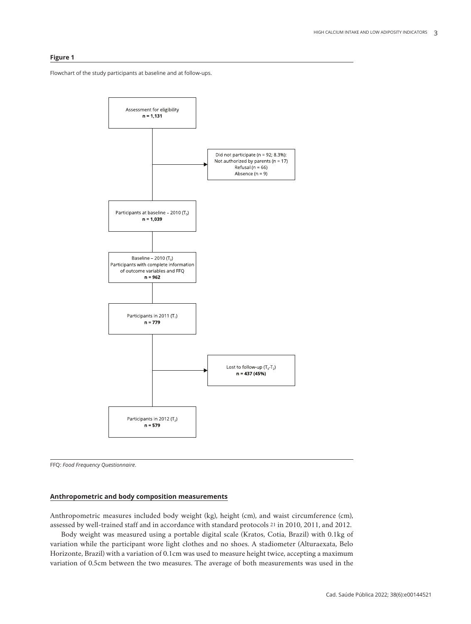# **Figure 1**

Flowchart of the study participants at baseline and at follow-ups.



FFQ: *Food Frequency Questionnaire*.

# **Anthropometric and body composition measurements**

Anthropometric measures included body weight (kg), height (cm), and waist circumference (cm), assessed by well-trained staff and in accordance with standard protocols 21 in 2010, 2011, and 2012.

Body weight was measured using a portable digital scale (Kratos, Cotia, Brazil) with 0.1kg of variation while the participant wore light clothes and no shoes. A stadiometer (Alturaexata, Belo Horizonte, Brazil) with a variation of 0.1cm was used to measure height twice, accepting a maximum variation of 0.5cm between the two measures. The average of both measurements was used in the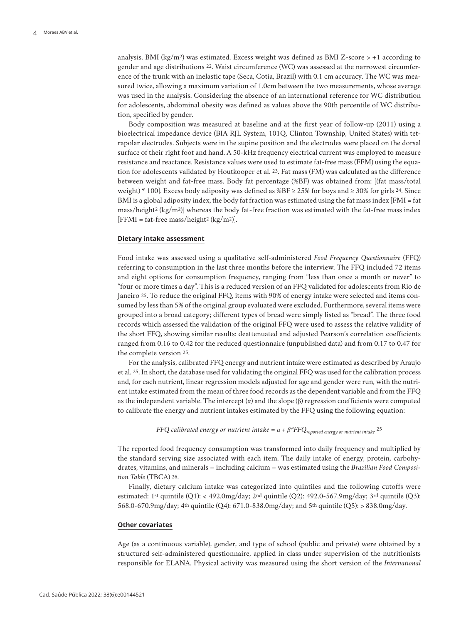analysis. BMI ( $\text{kg/m}$ 2) was estimated. Excess weight was defined as BMI Z-score > +1 according to gender and age distributions 22. Waist circumference (WC) was assessed at the narrowest circumference of the trunk with an inelastic tape (Seca, Cotia, Brazil) with 0.1 cm accuracy. The WC was measured twice, allowing a maximum variation of 1.0cm between the two measurements, whose average was used in the analysis. Considering the absence of an international reference for WC distribution for adolescents, abdominal obesity was defined as values above the 90th percentile of WC distribution, specified by gender.

Body composition was measured at baseline and at the first year of follow-up (2011) using a bioelectrical impedance device (BIA RJL System, 101Q, Clinton Township, United States) with tetrapolar electrodes. Subjects were in the supine position and the electrodes were placed on the dorsal surface of their right foot and hand. A 50-kHz frequency electrical current was employed to measure resistance and reactance. Resistance values were used to estimate fat-free mass (FFM) using the equation for adolescents validated by Houtkooper et al. 23. Fat mass (FM) was calculated as the difference between weight and fat-free mass. Body fat percentage (%BF) was obtained from: [(fat mass/total weight) \* 100]. Excess body adiposity was defined as  $\%BF \geq 25\%$  for boys and  $\geq 30\%$  for girls 24. Since BMI is a global adiposity index, the body fat fraction was estimated using the fat mass index [FMI = fat mass/height<sup>2</sup> (kg/m<sup>2</sup>)] whereas the body fat-free fraction was estimated with the fat-free mass index [FFMI = fat-free mass/height<sup>2</sup> (kg/m<sup>2</sup>)].

# **Dietary intake assessment**

Food intake was assessed using a qualitative self-administered *Food Frequency Questionnaire* (FFQ) referring to consumption in the last three months before the interview. The FFQ included 72 items and eight options for consumption frequency, ranging from "less than once a month or never" to "four or more times a day". This is a reduced version of an FFQ validated for adolescents from Rio de Janeiro 25. To reduce the original FFQ, items with 90% of energy intake were selected and items consumed by less than 5% of the original group evaluated were excluded. Furthermore, several items were grouped into a broad category; different types of bread were simply listed as "bread". The three food records which assessed the validation of the original FFQ were used to assess the relative validity of the short FFQ, showing similar results: deattenuated and adjusted Pearson's correlation coefficients ranged from 0.16 to 0.42 for the reduced questionnaire (unpublished data) and from 0.17 to 0.47 for the complete version 25.

For the analysis, calibrated FFQ energy and nutrient intake were estimated as described by Araujo et al. 25. In short, the database used for validating the original FFQ was used for the calibration process and, for each nutrient, linear regression models adjusted for age and gender were run, with the nutrient intake estimated from the mean of three food records as the dependent variable and from the FFQ as the independent variable. The intercept  $(\alpha)$  and the slope  $(\beta)$  regression coefficients were computed to calibrate the energy and nutrient intakes estimated by the FFQ using the following equation:

*FFQ calibrated energy or nutrient intake* =  $\alpha + \beta$ <sup>*\*FFQ*<sub>reported energy or nutrient intake</sub> 25</sup>

The reported food frequency consumption was transformed into daily frequency and multiplied by the standard serving size associated with each item. The daily intake of energy, protein, carbohydrates, vitamins, and minerals – including calcium – was estimated using the *Brazilian Food Composition Table* (TBCA) 26.

Finally, dietary calcium intake was categorized into quintiles and the following cutoffs were estimated: 1st quintile  $(Q1)$ : < 492.0mg/day; 2<sup>nd</sup> quintile  $(Q2)$ : 492.0-567.9mg/day; 3<sup>rd</sup> quintile  $(Q3)$ : 568.0-670.9mg/day; 4th quintile (Q4): 671.0-838.0mg/day; and 5th quintile (Q5): > 838.0mg/day.

#### **Other covariates**

Age (as a continuous variable), gender, and type of school (public and private) were obtained by a structured self-administered questionnaire, applied in class under supervision of the nutritionists responsible for ELANA. Physical activity was measured using the short version of the *International*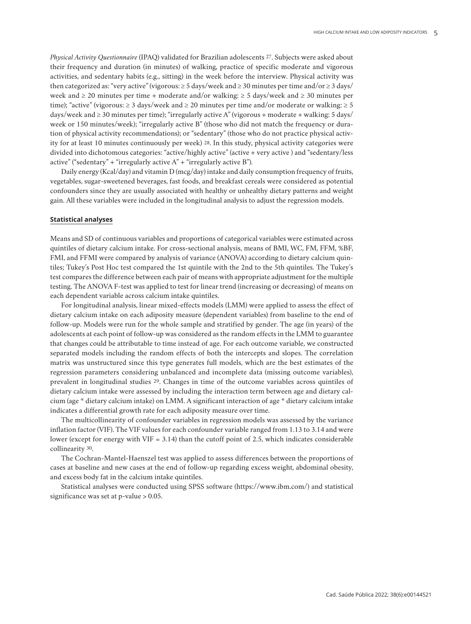*Physical Activity Questionnaire* (IPAQ) validated for Brazilian adolescents 27. Subjects were asked about their frequency and duration (in minutes) of walking, practice of specific moderate and vigorous activities, and sedentary habits (e.g., sitting) in the week before the interview. Physical activity was then categorized as: "very active" (vigorous:  $\geq$  5 days/week and  $\geq$  30 minutes per time and/or  $\geq$  3 days/ week and  $\geq$  20 minutes per time + moderate and/or walking:  $\geq$  5 days/week and  $\geq$  30 minutes per time); "active" (vigorous:  $\geq 3$  days/week and  $\geq 20$  minutes per time and/or moderate or walking:  $\geq 5$ days/week and  $\geq$  30 minutes per time); "irregularly active A" (vigorous + moderate + walking: 5 days/ week or 150 minutes/week); "irregularly active B" (those who did not match the frequency or duration of physical activity recommendations); or "sedentary" (those who do not practice physical activity for at least 10 minutes continuously per week) 28. In this study, physical activity categories were divided into dichotomous categories: "active/highly active" (active + very active ) and "sedentary/less active" ("sedentary" + "irregularly active  $A$ " + "irregularly active  $B$ ").

Daily energy (Kcal/day) and vitamin D (mcg/day) intake and daily consumption frequency of fruits, vegetables, sugar-sweetened beverages, fast foods, and breakfast cereals were considered as potential confounders since they are usually associated with healthy or unhealthy dietary patterns and weight gain. All these variables were included in the longitudinal analysis to adjust the regression models.

### **Statistical analyses**

Means and SD of continuous variables and proportions of categorical variables were estimated across quintiles of dietary calcium intake. For cross-sectional analysis, means of BMI, WC, FM, FFM, %BF, FMI, and FFMI were compared by analysis of variance (ANOVA) according to dietary calcium quintiles; Tukey's Post Hoc test compared the 1st quintile with the 2nd to the 5th quintiles. The Tukey's test compares the difference between each pair of means with appropriate adjustment for the multiple testing. The ANOVA F-test was applied to test for linear trend (increasing or decreasing) of means on each dependent variable across calcium intake quintiles.

For longitudinal analysis, linear mixed-effects models (LMM) were applied to assess the effect of dietary calcium intake on each adiposity measure (dependent variables) from baseline to the end of follow-up. Models were run for the whole sample and stratified by gender. The age (in years) of the adolescents at each point of follow-up was considered as the random effects in the LMM to guarantee that changes could be attributable to time instead of age. For each outcome variable, we constructed separated models including the random effects of both the intercepts and slopes. The correlation matrix was unstructured since this type generates full models, which are the best estimates of the regression parameters considering unbalanced and incomplete data (missing outcome variables), prevalent in longitudinal studies 29. Changes in time of the outcome variables across quintiles of dietary calcium intake were assessed by including the interaction term between age and dietary calcium (age \* dietary calcium intake) on LMM. A significant interaction of age \* dietary calcium intake indicates a differential growth rate for each adiposity measure over time.

The multicollinearity of confounder variables in regression models was assessed by the variance inflation factor (VIF). The VIF values for each confounder variable ranged from 1.13 to 3.14 and were lower (except for energy with VIF = 3.14) than the cutoff point of 2.5, which indicates considerable collinearity 30.

The Cochran-Mantel-Haenszel test was applied to assess differences between the proportions of cases at baseline and new cases at the end of follow-up regarding excess weight, abdominal obesity, and excess body fat in the calcium intake quintiles.

Statistical analyses were conducted using SPSS software (https://www.ibm.com/) and statistical significance was set at p-value > 0.05.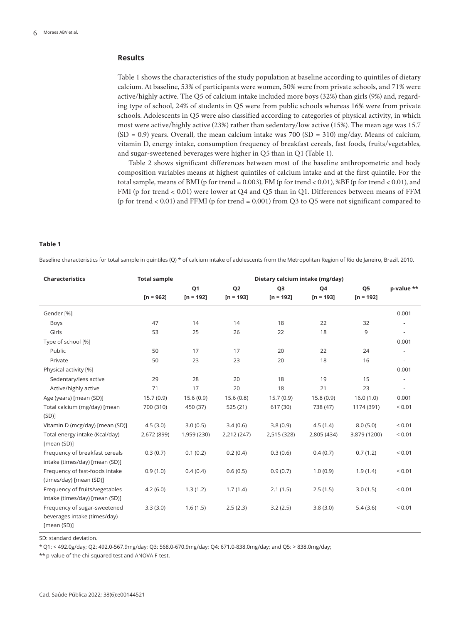# **Results**

Table 1 shows the characteristics of the study population at baseline according to quintiles of dietary calcium. At baseline, 53% of participants were women, 50% were from private schools, and 71% were active/highly active. The Q5 of calcium intake included more boys (32%) than girls (9%) and, regarding type of school, 24% of students in Q5 were from public schools whereas 16% were from private schools. Adolescents in Q5 were also classified according to categories of physical activity, in which most were active/highly active (23%) rather than sedentary/low active (15%). The mean age was 15.7  $(SD = 0.9)$  years. Overall, the mean calcium intake was 700 (SD = 310) mg/day. Means of calcium, vitamin D, energy intake, consumption frequency of breakfast cereals, fast foods, fruits/vegetables, and sugar-sweetened beverages were higher in Q5 than in Q1 (Table 1).

Table 2 shows significant differences between most of the baseline anthropometric and body composition variables means at highest quintiles of calcium intake and at the first quintile. For the total sample, means of BMI (p for trend = 0.003), FM (p for trend < 0.01), %BF (p for trend < 0.01), and FMI (p for trend < 0.01) were lower at Q4 and Q5 than in Q1. Differences between means of FFM (p for trend < 0.01) and FFMI (p for trend = 0.001) from Q3 to Q5 were not significant compared to

#### **Table 1**

Baseline characteristics for total sample in quintiles (Q) \* of calcium intake of adolescents from the Metropolitan Region of Rio de Janeiro, Brazil, 2010.

| Characteristics                                                             | <b>Total sample</b> |                | Dietary calcium intake (mg/day) |                |             |                |                          |  |  |
|-----------------------------------------------------------------------------|---------------------|----------------|---------------------------------|----------------|-------------|----------------|--------------------------|--|--|
|                                                                             |                     | Q <sub>1</sub> | Q <sub>2</sub>                  | Q <sub>3</sub> | Q4          | Q <sub>5</sub> | p-value **               |  |  |
|                                                                             | $[n = 962]$         | $[n = 192]$    | $[n = 193]$                     | $[n = 192]$    | $[n = 193]$ | $[n = 192]$    |                          |  |  |
| Gender [%]                                                                  |                     |                |                                 |                |             |                | 0.001                    |  |  |
| Boys                                                                        | 47                  | 14             | 14                              | 18             | 22          | 32             |                          |  |  |
| Girls                                                                       | 53                  | 25             | 26                              | 22             | 18          | 9              | ÷,                       |  |  |
| Type of school [%]                                                          |                     |                |                                 |                |             |                | 0.001                    |  |  |
| Public                                                                      | 50                  | 17             | 17                              | 20             | 22          | 24             |                          |  |  |
| Private                                                                     | 50                  | 23             | 23                              | 20             | 18          | 16             | $\overline{\phantom{a}}$ |  |  |
| Physical activity [%]                                                       |                     |                |                                 |                |             |                | 0.001                    |  |  |
| Sedentary/less active                                                       | 29                  | 28             | 20                              | 18             | 19          | 15             |                          |  |  |
| Active/highly active                                                        | 71                  | 17             | 20                              | 18             | 21          | 23             | ÷,                       |  |  |
| Age (years) [mean (SD)]                                                     | 15.7(0.9)           | 15.6(0.9)      | 15.6(0.8)                       | 15.7(0.9)      | 15.8(0.9)   | 16.0(1.0)      | 0.001                    |  |  |
| Total calcium (mg/day) [mean                                                | 700 (310)           | 450 (37)       | 525 (21)                        | 617 (30)       | 738 (47)    | 1174 (391)     | ${}_{0.01}$              |  |  |
| (SD)                                                                        |                     |                |                                 |                |             |                |                          |  |  |
| Vitamin D (mcg/day) [mean (SD)]                                             | 4.5(3.0)            | 3.0(0.5)       | 3.4(0.6)                        | 3.8(0.9)       | 4.5(1.4)    | 8.0(5.0)       | ${}_{0.01}$              |  |  |
| Total energy intake (Kcal/day)                                              | 2,672 (899)         | 1,959 (230)    | 2,212 (247)                     | 2,515 (328)    | 2,805 (434) | 3,879 (1200)   | ${}_{0.01}$              |  |  |
| [mean (SD)]                                                                 |                     |                |                                 |                |             |                |                          |  |  |
| Frequency of breakfast cereals<br>intake (times/day) [mean (SD)]            | 0.3(0.7)            | 0.1(0.2)       | 0.2(0.4)                        | 0.3(0.6)       | 0.4(0.7)    | 0.7(1.2)       | ${}_{0.01}$              |  |  |
| Frequency of fast-foods intake<br>(times/day) [mean (SD)]                   | 0.9(1.0)            | 0.4(0.4)       | 0.6(0.5)                        | 0.9(0.7)       | 1.0(0.9)    | 1.9(1.4)       | ${}_{0.01}$              |  |  |
| Frequency of fruits/vegetables<br>intake (times/day) [mean (SD)]            | 4.2(6.0)            | 1.3(1.2)       | 1.7(1.4)                        | 2.1(1.5)       | 2.5(1.5)    | 3.0(1.5)       | ${}_{0.01}$              |  |  |
| Frequency of sugar-sweetened<br>beverages intake (times/day)<br>[mean (SD)] | 3.3(3.0)            | 1.6(1.5)       | 2.5(2.3)                        | 3.2(2.5)       | 3.8(3.0)    | 5.4(3.6)       | ${}_{0.01}$              |  |  |

SD: standard deviation.

\* Q1: < 492.0g/day; Q2: 492.0-567.9mg/day; Q3: 568.0-670.9mg/day; Q4: 671.0-838.0mg/day; and Q5: > 838.0mg/day;

\*\* p-value of the chi-squared test and ANOVA F-test.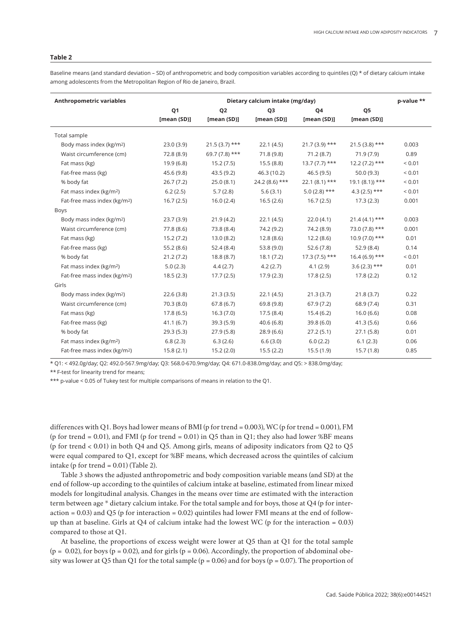#### **Table 2**

Baseline means (and standard deviation – SD) of anthropometric and body composition variables according to quintiles (Q) \* of dietary calcium intake among adolescents from the Metropolitan Region of Rio de Janeiro, Brazil.

| <b>Anthropometric variables</b>          | Dietary calcium intake (mg/day) |                 |                 |                 |                            | p-value **  |
|------------------------------------------|---------------------------------|-----------------|-----------------|-----------------|----------------------------|-------------|
|                                          | Q <sub>1</sub>                  | Q <sub>2</sub>  | Q <sub>3</sub>  | Q4              | Q5                         |             |
|                                          | [mean(SD)]                      | [mean (SD)]     | [mean(SD)]      | [mean (SD)]     | [mean (SD)]                |             |
| Total sample                             |                                 |                 |                 |                 |                            |             |
| Body mass index (kg/m <sup>2</sup> )     | 23.0(3.9)                       | $21.5(3.7)$ *** | 22.1(4.5)       | $21.7(3.9)$ *** | $21.5(3.8)$ ***            | 0.003       |
| Waist circumference (cm)                 | 72.8 (8.9)                      | $69.7(7.8)$ *** | 71.8(9.8)       | 71.2 (8.7)      | 71.9(7.9)                  | 0.89        |
| Fat mass (kg)                            | 19.9(6.8)                       | 15.2(7.5)       | 15.5(8.8)       | $13.7(7.7)$ *** | $12.2(7.2)$ ***            | ${}_{0.01}$ |
| Fat-free mass (kg)                       | 45.6 (9.8)                      | 43.5(9.2)       | 46.3 (10.2)     | 46.5(9.5)       | 50.0(9.3)                  | ${}_{0.01}$ |
| % body fat                               | 26.7(7.2)                       | 25.0(8.1)       | $24.2(8.6)$ *** | $22.1(8.1)$ *** | $19.1(8.1)$ <sup>***</sup> | ${}_{0.01}$ |
| Fat mass index (kg/m <sup>2</sup> )      | 6.2(2.5)                        | 5.7(2.8)        | 5.6(3.1)        | $5.0(2.8)$ ***  | $4.3(2.5)$ ***             | ${}_{0.01}$ |
| Fat-free mass index (kg/m <sup>2</sup> ) | 16.7(2.5)                       | 16.0(2.4)       | 16.5(2.6)       | 16.7(2.5)       | 17.3(2.3)                  | 0.001       |
| <b>Boys</b>                              |                                 |                 |                 |                 |                            |             |
| Body mass index (kg/m <sup>2</sup> )     | 23.7(3.9)                       | 21.9(4.2)       | 22.1(4.5)       | 22.0(4.1)       | $21.4(4.1)$ ***            | 0.003       |
| Waist circumference (cm)                 | 77.8 (8.6)                      | 73.8 (8.4)      | 74.2 (9.2)      | 74.2 (8.9)      | $73.0(7.8)$ ***            | 0.001       |
| Fat mass (kg)                            | 15.2(7.2)                       | 13.0(8.2)       | 12.8(8.6)       | 12.2(8.6)       | $10.9(7.0)$ ***            | 0.01        |
| Fat-free mass (kg)                       | 55.2(8.6)                       | 52.4(8.4)       | 53.8(9.0)       | 52.6(7.8)       | 52.9(8.4)                  | 0.14        |
| % body fat                               | 21.2(7.2)                       | 18.8(8.7)       | 18.1(7.2)       | $17.3(7.5)$ *** | $16.4(6.9)$ ***            | ${}_{0.01}$ |
| Fat mass index (kg/m <sup>2</sup> )      | 5.0(2.3)                        | 4.4(2.7)        | 4.2(2.7)        | 4.1(2.9)        | $3.6(2.3)$ ***             | 0.01        |
| Fat-free mass index (kg/m <sup>2</sup> ) | 18.5(2.3)                       | 17.7(2.5)       | 17.9(2.3)       | 17.8(2.5)       | 17.8(2.2)                  | 0.12        |
| Girls                                    |                                 |                 |                 |                 |                            |             |
| Body mass index (kg/m2)                  | 22.6(3.8)                       | 21.3(3.5)       | 22.1(4.5)       | 21.3(3.7)       | 21.8(3.7)                  | 0.22        |
| Waist circumference (cm)                 | 70.3(8.0)                       | 67.8(6.7)       | 69.8 (9.8)      | 67.9(7.2)       | 68.9 (7.4)                 | 0.31        |
| Fat mass (kg)                            | 17.8(6.5)                       | 16.3(7.0)       | 17.5(8.4)       | 15.4(6.2)       | 16.0(6.6)                  | 0.08        |
| Fat-free mass (kg)                       | 41.1(6.7)                       | 39.3(5.9)       | 40.6(6.8)       | 39.8(6.0)       | 41.3(5.6)                  | 0.66        |
| % body fat                               | 29.3(5.3)                       | 27.9(5.8)       | 28.9(6.6)       | 27.2(5.1)       | 27.1(5.8)                  | 0.01        |
| Fat mass index (kg/m <sup>2</sup> )      | 6.8(2.3)                        | 6.3(2.6)        | 6.6(3.0)        | 6.0(2.2)        | 6.1(2.3)                   | 0.06        |
| Fat-free mass index (kg/m <sup>2</sup> ) | 15.8(2.1)                       | 15.2(2.0)       | 15.5(2.2)       | 15.5(1.9)       | 15.7(1.8)                  | 0.85        |

\* Q1: < 492.0g/day; Q2: 492.0-567.9mg/day; Q3: 568.0-670.9mg/day; Q4: 671.0-838.0mg/day; and Q5: > 838.0mg/day;

\*\* F-test for linearity trend for means;

\*\*\* p-value < 0.05 of Tukey test for multiple comparisons of means in relation to the Q1.

differences with Q1. Boys had lower means of BMI (p for trend = 0.003), WC (p for trend = 0.001), FM (p for trend = 0.01), and FMI (p for trend = 0.01) in Q5 than in Q1; they also had lower %BF means (p for trend < 0.01) in both Q4 and Q5. Among girls, means of adiposity indicators from Q2 to Q5 were equal compared to Q1, except for %BF means, which decreased across the quintiles of calcium intake (p for trend =  $0.01$ ) (Table 2).

Table 3 shows the adjusted anthropometric and body composition variable means (and SD) at the end of follow-up according to the quintiles of calcium intake at baseline, estimated from linear mixed models for longitudinal analysis. Changes in the means over time are estimated with the interaction term between age \* dietary calcium intake. For the total sample and for boys, those at Q4 (p for interaction = 0.03) and Q5 (p for interaction = 0.02) quintiles had lower FMI means at the end of followup than at baseline. Girls at  $Q4$  of calcium intake had the lowest WC (p for the interaction = 0.03) compared to those at Q1.

At baseline, the proportions of excess weight were lower at Q5 than at Q1 for the total sample  $(p = 0.02)$ , for boys  $(p = 0.02)$ , and for girls  $(p = 0.06)$ . Accordingly, the proportion of abdominal obesity was lower at Q5 than Q1 for the total sample ( $p = 0.06$ ) and for boys ( $p = 0.07$ ). The proportion of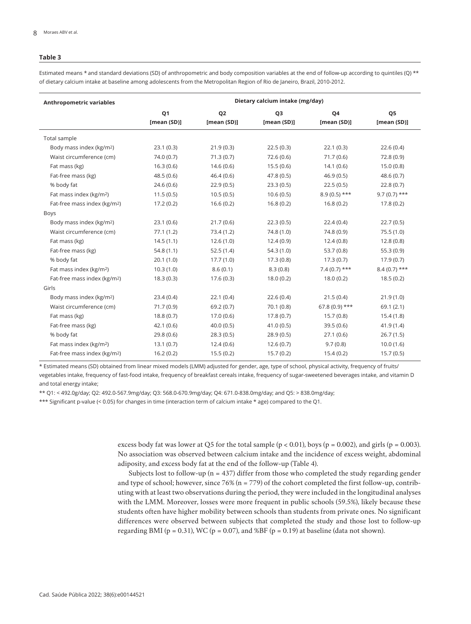#### **Table 3**

Estimated means \* and standard deviations (SD) of anthropometric and body composition variables at the end of follow-up according to quintiles (Q) \*\* of dietary calcium intake at baseline among adolescents from the Metropolitan Region of Rio de Janeiro, Brazil, 2010-2012.

| <b>Anthropometric variables</b>          | Dietary calcium intake (mg/day) |                |                |                 |                |  |
|------------------------------------------|---------------------------------|----------------|----------------|-----------------|----------------|--|
|                                          | Q1                              | Q <sub>2</sub> | Q <sub>3</sub> | Q4              | Q5             |  |
|                                          | [mean (SD)]                     | [mean (SD)]    | [mean (SD)]    | [mean (SD)]     | [mean (SD)]    |  |
| Total sample                             |                                 |                |                |                 |                |  |
| Body mass index (kg/m <sup>2</sup> )     | 23.1(0.3)                       | 21.9(0.3)      | 22.5(0.3)      | 22.1(0.3)       | 22.6(0.4)      |  |
| Waist circumference (cm)                 | 74.0 (0.7)                      | 71.3(0.7)      | 72.6(0.6)      | 71.7(0.6)       | 72.8(0.9)      |  |
| Fat mass (kg)                            | 16.3(0.6)                       | 14.6(0.6)      | 15.5(0.6)      | 14.1(0.6)       | 15.0(0.8)      |  |
| Fat-free mass (kg)                       | 48.5(0.6)                       | 46.4(0.6)      | 47.8(0.5)      | 46.9(0.5)       | 48.6(0.7)      |  |
| % body fat                               | 24.6(0.6)                       | 22.9(0.5)      | 23.3(0.5)      | 22.5(0.5)       | 22.8(0.7)      |  |
| Fat mass index (kg/m <sup>2</sup> )      | 11.5(0.5)                       | 10.5(0.5)      | 10.6(0.5)      | $8.9(0.5)$ ***  | $9.7(0.7)$ *** |  |
| Fat-free mass index (kg/m <sup>2</sup> ) | 17.2(0.2)                       | 16.6(0.2)      | 16.8(0.2)      | 16.8(0.2)       | 17.8(0.2)      |  |
| Boys                                     |                                 |                |                |                 |                |  |
| Body mass index (kg/m <sup>2</sup> )     | 23.1(0.6)                       | 21.7(0.6)      | 22.3(0.5)      | 22.4(0.4)       | 22.7(0.5)      |  |
| Waist circumference (cm)                 | 77.1(1.2)                       | 73.4(1.2)      | 74.8(1.0)      | 74.8 (0.9)      | 75.5(1.0)      |  |
| Fat mass (kg)                            | 14.5(1.1)                       | 12.6(1.0)      | 12.4(0.9)      | 12.4(0.8)       | 12.8(0.8)      |  |
| Fat-free mass (kg)                       | 54.8(1.1)                       | 52.5(1.4)      | 54.3(1.0)      | 53.7(0.8)       | 55.3(0.9)      |  |
| % body fat                               | 20.1(1.0)                       | 17.7(1.0)      | 17.3(0.8)      | 17.3(0.7)       | 17.9(0.7)      |  |
| Fat mass index (kg/m <sup>2</sup> )      | 10.3(1.0)                       | 8.6(0.1)       | 8.3(0.8)       | $7.4(0.7)$ ***  | $8.4(0.7)$ *** |  |
| Fat-free mass index (kg/m <sup>2</sup> ) | 18.3(0.3)                       | 17.6(0.3)      | 18.0(0.2)      | 18.0(0.2)       | 18.5(0.2)      |  |
| Girls                                    |                                 |                |                |                 |                |  |
| Body mass index (kg/m2)                  | 23.4(0.4)                       | 22.1(0.4)      | 22.6(0.4)      | 21.5(0.4)       | 21.9(1.0)      |  |
| Waist circumference (cm)                 | 71.7(0.9)                       | 69.2(0.7)      | 70.1(0.8)      | $67.8(0.9)$ *** | 69.1(2.1)      |  |
| Fat mass (kg)                            | 18.8(0.7)                       | 17.0(0.6)      | 17.8(0.7)      | 15.7(0.8)       | 15.4(1.8)      |  |
| Fat-free mass (kg)                       | 42.1(0.6)                       | 40.0(0.5)      | 41.0(0.5)      | 39.5(0.6)       | 41.9(1.4)      |  |
| % body fat                               | 29.8(0.6)                       | 28.3(0.5)      | 28.9(0.5)      | 27.1(0.6)       | 26.7(1.5)      |  |
| Fat mass index (kg/m <sup>2</sup> )      | 13.1(0.7)                       | 12.4(0.6)      | 12.6(0.7)      | 9.7(0.8)        | 10.0(1.6)      |  |
| Fat-free mass index (kg/m <sup>2</sup> ) | 16.2(0.2)                       | 15.5(0.2)      | 15.7(0.2)      | 15.4(0.2)       | 15.7(0.5)      |  |

\* Estimated means (SD) obtained from linear mixed models (LMM) adjusted for gender, age, type of school, physical activity, frequency of fruits/

vegetables intake, frequency of fast-food intake, frequency of breakfast cereals intake, frequency of sugar-sweetened beverages intake, and vitamin D and total energy intake;

\*\* Q1: < 492.0g/day; Q2: 492.0-567.9mg/day; Q3: 568.0-670.9mg/day; Q4: 671.0-838.0mg/day; and Q5: > 838.0mg/day;

\*\*\* Significant p-value (< 0.05) for changes in time (interaction term of calcium intake \* age) compared to the Q1.

excess body fat was lower at Q5 for the total sample  $(p < 0.01)$ , boys  $(p = 0.002)$ , and girls  $(p = 0.003)$ . No association was observed between calcium intake and the incidence of excess weight, abdominal adiposity, and excess body fat at the end of the follow-up (Table 4).

Subjects lost to follow-up ( $n = 437$ ) differ from those who completed the study regarding gender and type of school; however, since 76% (n = 779) of the cohort completed the first follow-up, contributing with at least two observations during the period, they were included in the longitudinal analyses with the LMM. Moreover, losses were more frequent in public schools (59.5%), likely because these students often have higher mobility between schools than students from private ones. No significant differences were observed between subjects that completed the study and those lost to follow-up regarding BMI ( $p = 0.31$ ), WC ( $p = 0.07$ ), and %BF ( $p = 0.19$ ) at baseline (data not shown).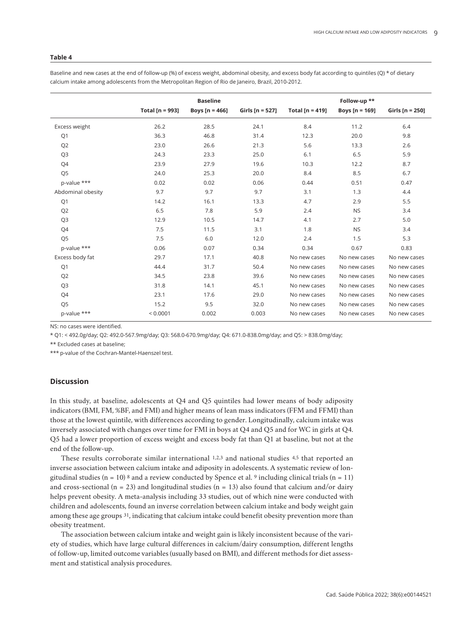#### **Table 4**

Baseline and new cases at the end of follow-up (%) of excess weight, abdominal obesity, and excess body fat according to quintiles (Q) \* of dietary calcium intake among adolescents from the Metropolitan Region of Rio de Janeiro, Brazil, 2010-2012.

|                   | Total [ $n = 993$ ] | <b>Baseline</b><br>Boys $[n = 466]$ | Girls $[n = 527]$ | Total [ $n = 419$ ] | Follow-up **<br>Boys $[n = 169]$ | Girls $[n = 250]$ |
|-------------------|---------------------|-------------------------------------|-------------------|---------------------|----------------------------------|-------------------|
|                   |                     |                                     |                   |                     |                                  |                   |
| Excess weight     | 26.2                | 28.5                                | 24.1              | 8.4                 | 11.2                             | 6.4               |
| Q1                | 36.3                | 46.8                                | 31.4              | 12.3                | 20.0                             | 9.8               |
| Q <sub>2</sub>    | 23.0                | 26.6                                | 21.3              | 5.6                 | 13.3                             | 2.6               |
| Q <sub>3</sub>    | 24.3                | 23.3                                | 25.0              | 6.1                 | 6.5                              | 5.9               |
| Q4                | 23.9                | 27.9                                | 19.6              | 10.3                | 12.2                             | 8.7               |
| Q <sub>5</sub>    | 24.0                | 25.3                                | 20.0              | 8.4                 | 8.5                              | 6.7               |
| p-value ***       | 0.02                | 0.02                                | 0.06              | 0.44                | 0.51                             | 0.47              |
| Abdominal obesity | 9.7                 | 9.7                                 | 9.7               | 3.1                 | 1.3                              | 4.4               |
| Q1                | 14.2                | 16.1                                | 13.3              | 4.7                 | 2.9                              | 5.5               |
| Q <sub>2</sub>    | 6.5                 | 7.8                                 | 5.9               | 2.4                 | <b>NS</b>                        | 3.4               |
| Q <sub>3</sub>    | 12.9                | 10.5                                | 14.7              | 4.1                 | 2.7                              | 5.0               |
| Q4                | 7.5                 | 11.5                                | 3.1               | 1.8                 | <b>NS</b>                        | 3.4               |
| Q <sub>5</sub>    | 7.5                 | 6.0                                 | 12.0              | 2.4                 | 1.5                              | 5.3               |
| p-value ***       | 0.06                | 0.07                                | 0.34              | 0.34                | 0.67                             | 0.83              |
| Excess body fat   | 29.7                | 17.1                                | 40.8              | No new cases        | No new cases                     | No new cases      |
| Q1                | 44.4                | 31.7                                | 50.4              | No new cases        | No new cases                     | No new cases      |
| Q <sub>2</sub>    | 34.5                | 23.8                                | 39.6              | No new cases        | No new cases                     | No new cases      |
| Q <sub>3</sub>    | 31.8                | 14.1                                | 45.1              | No new cases        | No new cases                     | No new cases      |
| Q4                | 23.1                | 17.6                                | 29.0              | No new cases        | No new cases                     | No new cases      |
| Q <sub>5</sub>    | 15.2                | 9.5                                 | 32.0              | No new cases        | No new cases                     | No new cases      |
| p-value ***       | < 0.0001            | 0.002                               | 0.003             | No new cases        | No new cases                     | No new cases      |

NS: no cases were identified.

\* Q1: < 492.0g/day; Q2: 492.0-567.9mg/day; Q3: 568.0-670.9mg/day; Q4: 671.0-838.0mg/day; and Q5: > 838.0mg/day;

\*\* Excluded cases at baseline;

\*\*\* p-value of the Cochran-Mantel-Haenszel test.

# **Discussion**

In this study, at baseline, adolescents at Q4 and Q5 quintiles had lower means of body adiposity indicators (BMI, FM, %BF, and FMI) and higher means of lean mass indicators (FFM and FFMI) than those at the lowest quintile, with differences according to gender. Longitudinally, calcium intake was inversely associated with changes over time for FMI in boys at Q4 and Q5 and for WC in girls at Q4. Q5 had a lower proportion of excess weight and excess body fat than Q1 at baseline, but not at the end of the follow-up.

These results corroborate similar international 1,2,3 and national studies 4,5 that reported an inverse association between calcium intake and adiposity in adolescents. A systematic review of longitudinal studies (n = 10) 8 and a review conducted by Spence et al. 9 including clinical trials (n = 11) and cross-sectional ( $n = 23$ ) and longitudinal studies ( $n = 13$ ) also found that calcium and/or dairy helps prevent obesity. A meta-analysis including 33 studies, out of which nine were conducted with children and adolescents, found an inverse correlation between calcium intake and body weight gain among these age groups 31, indicating that calcium intake could benefit obesity prevention more than obesity treatment.

The association between calcium intake and weight gain is likely inconsistent because of the variety of studies, which have large cultural differences in calcium/dairy consumption, different lengths of follow-up, limited outcome variables (usually based on BMI), and different methods for diet assessment and statistical analysis procedures.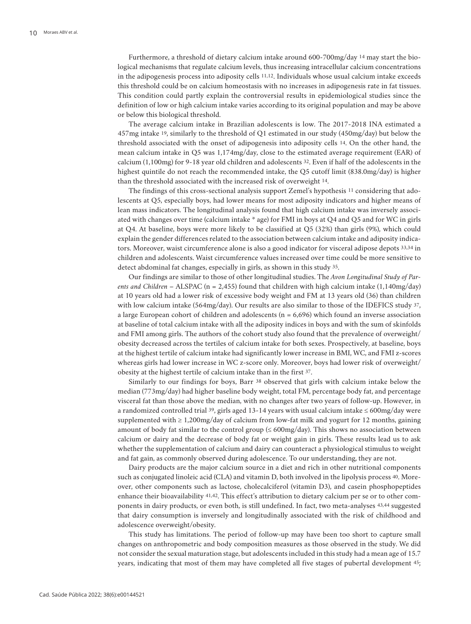Furthermore, a threshold of dietary calcium intake around 600-700mg/day 14 may start the biological mechanisms that regulate calcium levels, thus increasing intracellular calcium concentrations in the adipogenesis process into adiposity cells 11,12. Individuals whose usual calcium intake exceeds this threshold could be on calcium homeostasis with no increases in adipogenesis rate in fat tissues. This condition could partly explain the controversial results in epidemiological studies since the definition of low or high calcium intake varies according to its original population and may be above or below this biological threshold.

The average calcium intake in Brazilian adolescents is low. The 2017-2018 INA estimated a 457mg intake 19, similarly to the threshold of Q1 estimated in our study (450mg/day) but below the threshold associated with the onset of adipogenesis into adiposity cells 14. On the other hand, the mean calcium intake in Q5 was 1,174mg/day, close to the estimated average requirement (EAR) of calcium (1,100mg) for 9-18 year old children and adolescents 32. Even if half of the adolescents in the highest quintile do not reach the recommended intake, the Q5 cutoff limit (838.0mg/day) is higher than the threshold associated with the increased risk of overweight 14.

The findings of this cross-sectional analysis support Zemel's hypothesis 11 considering that adolescents at Q5, especially boys, had lower means for most adiposity indicators and higher means of lean mass indicators. The longitudinal analysis found that high calcium intake was inversely associated with changes over time (calcium intake \* age) for FMI in boys at Q4 and Q5 and for WC in girls at Q4. At baseline, boys were more likely to be classified at Q5 (32%) than girls (9%), which could explain the gender differences related to the association between calcium intake and adiposity indicators. Moreover, waist circumference alone is also a good indicator for visceral adipose depots 33,34 in children and adolescents. Waist circumference values increased over time could be more sensitive to detect abdominal fat changes, especially in girls, as shown in this study 35.

Our findings are similar to those of other longitudinal studies. The *Avon Longitudinal Study of Parents and Children* – ALSPAC (n = 2,455) found that children with high calcium intake (1,140mg/day) at 10 years old had a lower risk of excessive body weight and FM at 13 years old (36) than children with low calcium intake (564mg/day). Our results are also similar to those of the IDEFICS study 37, a large European cohort of children and adolescents ( $n = 6,696$ ) which found an inverse association at baseline of total calcium intake with all the adiposity indices in boys and with the sum of skinfolds and FMI among girls. The authors of the cohort study also found that the prevalence of overweight/ obesity decreased across the tertiles of calcium intake for both sexes. Prospectively, at baseline, boys at the highest tertile of calcium intake had significantly lower increase in BMI, WC, and FMI z-scores whereas girls had lower increase in WC z-score only. Moreover, boys had lower risk of overweight/ obesity at the highest tertile of calcium intake than in the first 37.

Similarly to our findings for boys, Barr 38 observed that girls with calcium intake below the median (773mg/day) had higher baseline body weight, total FM, percentage body fat, and percentage visceral fat than those above the median, with no changes after two years of follow-up. However, in a randomized controlled trial 39, girls aged 13-14 years with usual calcium intake ≤ 600mg/day were supplemented with ≥ 1,200mg/day of calcium from low-fat milk and yogurt for 12 months, gaining amount of body fat similar to the control group  $( \leq 600 \text{mg/day})$ . This shows no association between calcium or dairy and the decrease of body fat or weight gain in girls. These results lead us to ask whether the supplementation of calcium and dairy can counteract a physiological stimulus to weight and fat gain, as commonly observed during adolescence. To our understanding, they are not.

Dairy products are the major calcium source in a diet and rich in other nutritional components such as conjugated linoleic acid (CLA) and vitamin D, both involved in the lipolysis process 40. Moreover, other components such as lactose, cholecalciferol (vitamin D3), and casein phosphopeptides enhance their bioavailability 41,42. This effect's attribution to dietary calcium per se or to other components in dairy products, or even both, is still undefined. In fact, two meta-analyses 43,44 suggested that dairy consumption is inversely and longitudinally associated with the risk of childhood and adolescence overweight/obesity.

This study has limitations. The period of follow-up may have been too short to capture small changes on anthropometric and body composition measures as those observed in the study. We did not consider the sexual maturation stage, but adolescents included in this study had a mean age of 15.7 years, indicating that most of them may have completed all five stages of pubertal development 45;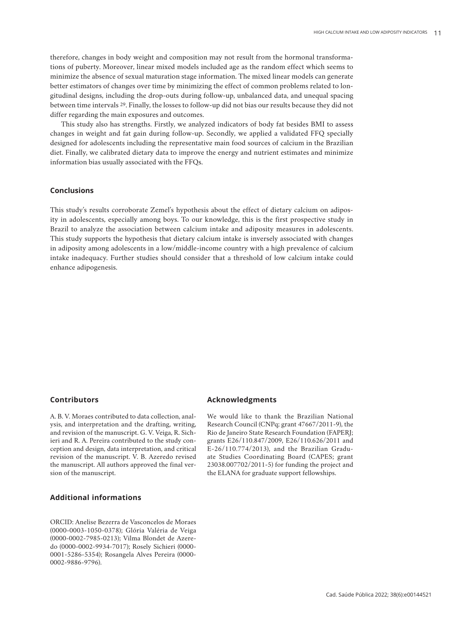therefore, changes in body weight and composition may not result from the hormonal transformations of puberty. Moreover, linear mixed models included age as the random effect which seems to minimize the absence of sexual maturation stage information. The mixed linear models can generate better estimators of changes over time by minimizing the effect of common problems related to longitudinal designs, including the drop-outs during follow-up, unbalanced data, and unequal spacing between time intervals 29. Finally, the losses to follow-up did not bias our results because they did not differ regarding the main exposures and outcomes.

This study also has strengths. Firstly, we analyzed indicators of body fat besides BMI to assess changes in weight and fat gain during follow-up. Secondly, we applied a validated FFQ specially designed for adolescents including the representative main food sources of calcium in the Brazilian diet. Finally, we calibrated dietary data to improve the energy and nutrient estimates and minimize information bias usually associated with the FFQs.

# **Conclusions**

This study's results corroborate Zemel's hypothesis about the effect of dietary calcium on adiposity in adolescents, especially among boys. To our knowledge, this is the first prospective study in Brazil to analyze the association between calcium intake and adiposity measures in adolescents. This study supports the hypothesis that dietary calcium intake is inversely associated with changes in adiposity among adolescents in a low/middle-income country with a high prevalence of calcium intake inadequacy. Further studies should consider that a threshold of low calcium intake could enhance adipogenesis.

# **Contributors**

A. B. V. Moraes contributed to data collection, analysis, and interpretation and the drafting, writing, and revision of the manuscript. G. V. Veiga, R. Sichieri and R. A. Pereira contributed to the study conception and design, data interpretation, and critical revision of the manuscript. V. B. Azeredo revised the manuscript. All authors approved the final version of the manuscript.

# **Additional informations**

ORCID: Anelise Bezerra de Vasconcelos de Moraes (0000-0003-1050-0378); Glória Valéria de Veiga (0000-0002-7985-0213); Vilma Blondet de Azeredo (0000-0002-9934-7017); Rosely Sichieri (0000- 0001-5286-5354); Rosangela Alves Pereira (0000- 0002-9886-9796).

# **Acknowledgments**

We would like to thank the Brazilian National Research Council (CNPq; grant 47667/2011-9), the Rio de Janeiro State Research Foundation (FAPERJ; grants E26/110.847/2009, E26/110.626/2011 and E-26/110.774/2013), and the Brazilian Graduate Studies Coordinating Board (CAPES; grant 23038.007702/2011-5) for funding the project and the ELANA for graduate support fellowships.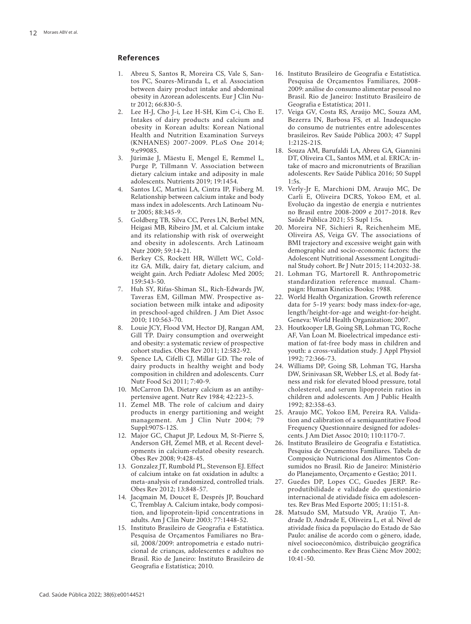## **References**

- 1. Abreu S, Santos R, Moreira CS, Vale S, San tos PC, Soares-Miranda L, et al. Association between dairy product intake and abdominal obesity in Azorean adolescents. Eur J Clin Nu tr 2012; 66:830-5.
- Lee H-J, Cho J-i, Lee H-SH, Kim C-i, Cho E. Intakes of dairy products and calcium and obesity in Korean adults: Korean National Health and Nutrition Examination Surveys (KNHANES) 2007-2009. PLoS One 2014;  $9.699085$
- 3. Jürimäe J, Mäestu E, Mengel E, Remmel L, Purge P, Tillmann V. Association between dietary calcium intake and adiposity in male adolescents. Nutrients 2019; 19:1454.
- 4. Santos LC, Martini LA, Cintra IP, Fisberg M. Relationship between calcium intake and body mass index in adolescents. Arch Latinoam Nu tr 2005; 88:345-9.
- 5. Goldberg TB, Silva CC, Peres LN, Berbel MN, Heigasi MB, Ribeiro JM, et al. Calcium intake and its relationship with risk of overweight and obesity in adolescents. Arch Latinoam Nutr 2009; 59:14-21.
- 6. Berkey CS, Rockett HR, Willett WC, Cold itz GA. Milk, dairy fat, dietary calcium, and weight gain. Arch Pediatr Adolesc Med 2005; 159:543-50.
- 7. Huh SY, Rifas-Shiman SL, Rich-Edwards JW, Taveras EM, Gillman MW. Prospective as sociation between milk intake and adiposity in preschool-aged children. J Am Diet Assoc 2010; 110:563-70.
- Louie JCY, Flood VM, Hector DJ, Rangan AM, Gill TP. Dairy consumption and overweight and obesity: a systematic review of prospective cohort studies. Obes Rev 2011; 12:582-92.
- 9. Spence LA, Cifelli CJ, Millar GD. The role of dairy products in healthy weight and body composition in children and adolescents. Curr Nutr Food Sci 2011; 7:40-9.
- 10. McCarron DA. Dietary calcium as an antihy pertensive agent. Nutr Rev 1984; 42:223-5.
- 11. Zemel MB. The role of calcium and dairy products in energy partitioning and weight management. Am J Clin Nutr 2004; 79 Suppl:907S-12S.
- 12. Major GC, Chaput JP, Ledoux M, St-Pierre S, Anderson GH, Zemel MB, et al. Recent devel opments in calcium-related obesity research. Obes Rev 2008; 9:428-45.
- 13. Gonzalez JT, Rumbold PL, Stevenson EJ. Effect of calcium intake on fat oxidation in adults: a meta-analysis of randomized, controlled trials. Obes Rev 2012; 13:848-57.
- 14. Jacqmain M, Doucet E, Després JP, Bouchard C, Tremblay A. Calcium intake, body composi tion, and lipoprotein-lipid concentrations in adults. Am J Clin Nutr 2003; 77:1448-52.
- 15. Instituto Brasileiro de Geografia e Estatística. Pesquisa de Orçamentos Familiares no Bra sil, 2008/2009: antropometria e estado nutri cional de crianças, adolescentes e adultos no Brasil. Rio de Janeiro: Instituto Brasileiro de Geografia e Estatística; 2010.
- 16. Instituto Brasileiro de Geografia e Estatística. Pesquisa de Orçamentos Familiares, 2008- 2009: análise do consumo alimentar pessoal no Brasil. Rio de Janeiro: Instituto Brasileiro de Geografia e Estatística; 2011.
- 17. Veiga GV, Costa RS, Araújo MC, Souza AM, Bezerra IN, Barbosa FS, et al. Inadequação do consumo de nutrientes entre adolescentes brasileiros. Rev Saúde Pública 2003; 47 Suppl 1:212S-21S.
- 18. Souza AM, Barufaldi LA, Abreu GA, Giannini DT, Oliveira CL, Santos MM, et al. ERICA: in take of macro and micronutrients of Brazilian adolescents. Rev Saúde Pública 2016; 50 Suppl  $1.5s$
- 19. Verly-Jr E, Marchioni DM, Araujo MC, De Carli E, Oliveira DCRS, Yokoo EM, et al. Evolução da ingestão de energia e nutrientes no Brasil entre 2008-2009 e 2017-2018. Rev Saúde Pública 2021; 55 Supl 1:5s.
- 20. Moreira NF, Sichieri R, Reichenheim ME, Oliveira AS, Veiga GV. The associations of BMI trajectory and excessive weight gain with demographic and socio-economic factors: the Adolescent Nutritional Assessment Longitudi nal Study cohort. Br J Nutr 2015; 114:2032-38.
- 21. Lohman TG, Martorell R. Anthropometric standardization reference manual. Cham paign: Human Kinetics Books; 1988.
- 22. World Health Organization. Growth reference data for 5-19 years: body mass index-for-age, length/height-for-age and weight-for-height. Geneva: World Health Organization; 2007.
- 23. Houtkooper LB, Going SB, Lohman TG, Roche AF, Van Loan M. Bioelectrical impedance esti mation of fat-free body mass in children and youth: a cross-validation study. J Appl Physiol 1992; 72:366-73.
- 24. Williams DP, Going SB, Lohman TG, Harsha DW, Srinivasan SR, Webber LS, et al. Body fat ness and risk for elevated blood pressure, total cholesterol, and serum lipoprotein ratios in children and adolescents. Am J Public Health 1992; 82:358-63.
- 25. Araujo MC, Yokoo EM, Pereira RA. Valida tion and calibration of a semiquantitative Food Frequency Questionnaire designed for adoles cents. J Am Diet Assoc 2010; 110:1170-7.
- 26. Instituto Brasileiro de Geografia e Estatística. Pesquisa de Orçamentos Familiares. Tabela de Composição Nutricional dos Alimentos Con sumidos no Brasil. Rio de Janeiro: Ministério do Planejamento, Orçamento e Gestão; 2011.
- 27. Guedes DP, Lopes CC, Guedes JERP. Re produtibilidade e validade do questionário internacional de atividade física em adolescen tes. Rev Bras Med Esporte 2005; 11:151-8.
- 28. Matsudo SM, Matsudo VR, Araújo T, An drade D, Andrade E, Oliveira L, et al. Nível de atividade física da população do Estado de São Paulo: análise de acordo com o gênero, idade, nível socioeconômico, distribuição geográfica e de conhecimento. Rev Bras Ciênc Mov 2002; 10:41-50.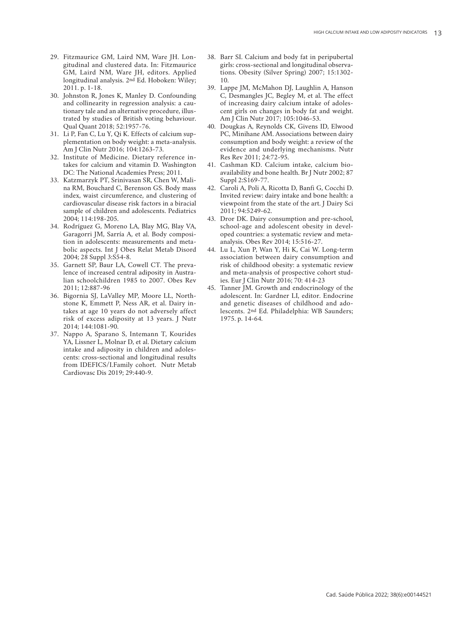- 29. Fitzmaurice GM, Laird NM, Ware JH. Lon gitudinal and clustered data. In: Fitzmaurice GM, Laird NM, Ware JH, editors. Applied longitudinal analysis. 2nd Ed. Hoboken: Wiley; 2011. p. 1-18.
- 30. Johnston R, Jones K, Manley D. Confounding and collinearity in regression analysis: a cau tionary tale and an alternative procedure, illus trated by studies of British voting behaviour. Qual Quant 2018; 52:1957-76.
- 31. Li P, Fan C, Lu Y, Qi K. Effects of calcium sup plementation on body weight: a meta-analysis. Am J Clin Nutr 2016; 104:1263-73.
- 32. Institute of Medicine. Dietary reference in takes for calcium and vitamin D. Washington DC: The National Academies Press; 2011.
- 33. Katzmarzyk PT, Srinivasan SR, Chen W, Mali na RM, Bouchard C, Berenson GS. Body mass index, waist circumference, and clustering of cardiovascular disease risk factors in a biracial sample of children and adolescents. Pediatrics 2004; 114:198-205.
- 34. Rodríguez G, Moreno LA, Blay MG, Blay VA, Garagorri JM, Sarría A, et al. Body composi tion in adolescents: measurements and meta bolic aspects. Int J Obes Relat Metab Disord 2004; 28 Suppl 3:S54-8.
- 35. Garnett SP, Baur LA, Cowell CT. The preva lence of increased central adiposity in Austra lian schoolchildren 1985 to 2007. Obes Rev 2011; 12:887-96
- 36. Bigornia SJ, LaValley MP, Moore LL, North stone K, Emmett P, Ness AR, et al. Dairy in takes at age 10 years do not adversely affect risk of excess adiposity at 13 years. J Nutr 2014; 144:1081-90.
- 37. Nappo A, Sparano S, Intemann T, Kourides YA, Lissner L, Molnar D, et al. Dietary calcium intake and adiposity in children and adoles cents: cross-sectional and longitudinal results from IDEFICS/I.Family cohort. Nutr Metab Cardiovasc Dis 2019; 29:440-9.
- 38. Barr SI. Calcium and body fat in peripubertal girls: cross-sectional and longitudinal observa tions. Obesity (Silver Spring) 2007; 15:1302- 10.
- 39. Lappe JM, McMahon DJ, Laughlin A, Hanson C, Desmangles JC, Begley M, et al. The effect of increasing dairy calcium intake of adoles cent girls on changes in body fat and weight. Am J Clin Nutr 2017; 105:1046-53.
- 40. Dougkas A, Reynolds CK, Givens ID, Elwood PC, Minihane AM. Associations between dairy consumption and body weight: a review of the evidence and underlying mechanisms. Nutr Res Rev 2011; 24:72-95.
- 41. Cashman KD. Calcium intake, calcium bio availability and bone health. Br J Nutr 2002; 87 Suppl 2:S169-77.
- 42. Caroli A, Poli A, Ricotta D, Banfi G, Cocchi D. Invited review: dairy intake and bone health: a viewpoint from the state of the art. J Dairy Sci 2011; 94:5249-62.
- 43. Dror DK. Dairy consumption and pre-school, school-age and adolescent obesity in devel oped countries: a systematic review and metaanalysis. Obes Rev 2014; 15:516-27.
- 44. Lu L, Xun P, Wan Y, Hi K, Cai W. Long-term association between dairy consumption and risk of childhood obesity: a systematic review and meta-analysis of prospective cohort stud ies. Eur J Clin Nutr 2016; 70: 414-23
- 45. Tanner JM. Growth and endocrinology of the adolescent. In: Gardner LI, editor. Endocrine and genetic diseases of childhood and ado lescents. 2nd Ed. Philadelphia: WB Saunders; 1975. p. 14-64.